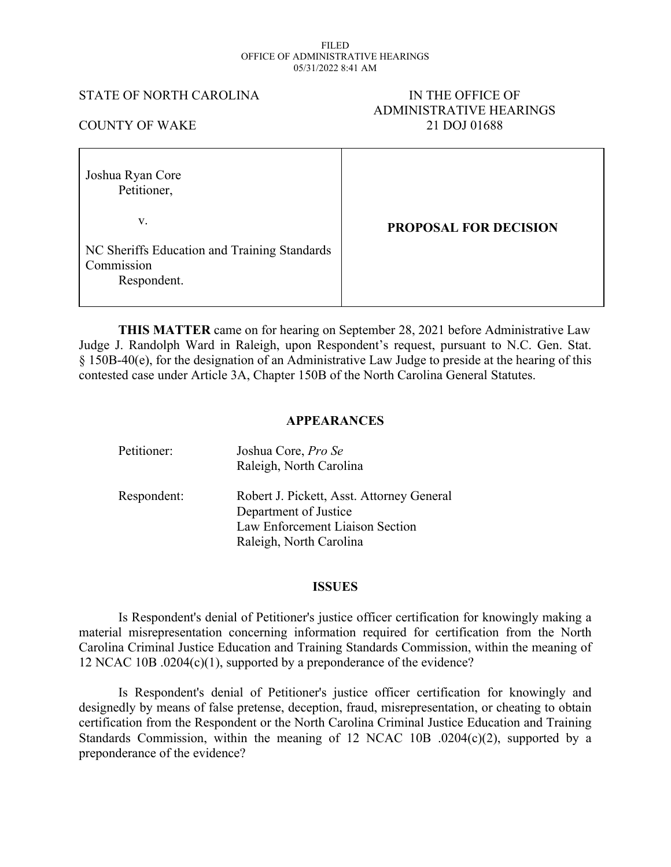#### FILED OFFICE OF ADMINISTRATIVE HEARINGS 05/31/2022 8:41 AM

#### STATE OF NORTH CAROLINA IN THE OFFICE OF

# ADMINISTRATIVE HEARINGS COUNTY OF WAKE 21 DOJ 01688

| Joshua Ryan Core<br>Petitioner,                                           |                              |
|---------------------------------------------------------------------------|------------------------------|
| V.                                                                        | <b>PROPOSAL FOR DECISION</b> |
| NC Sheriffs Education and Training Standards<br>Commission<br>Respondent. |                              |

**THIS MATTER** came on for hearing on September 28, 2021 before Administrative Law Judge J. Randolph Ward in Raleigh, upon Respondent's request, pursuant to N.C. Gen. Stat. § 150B-40(e), for the designation of an Administrative Law Judge to preside at the hearing of this contested case under Article 3A, Chapter 150B of the North Carolina General Statutes.

### **APPEARANCES**

| Petitioner: | Joshua Core, Pro Se<br>Raleigh, North Carolina                                                                                   |
|-------------|----------------------------------------------------------------------------------------------------------------------------------|
| Respondent: | Robert J. Pickett, Asst. Attorney General<br>Department of Justice<br>Law Enforcement Liaison Section<br>Raleigh, North Carolina |

#### **ISSUES**

Is Respondent's denial of Petitioner's justice officer certification for knowingly making a material misrepresentation concerning information required for certification from the North Carolina Criminal Justice Education and Training Standards Commission, within the meaning of 12 NCAC 10B .0204(c)(1), supported by a preponderance of the evidence?

Is Respondent's denial of Petitioner's justice officer certification for knowingly and designedly by means of false pretense, deception, fraud, misrepresentation, or cheating to obtain certification from the Respondent or the North Carolina Criminal Justice Education and Training Standards Commission, within the meaning of 12 NCAC 10B .0204(c)(2), supported by a preponderance of the evidence?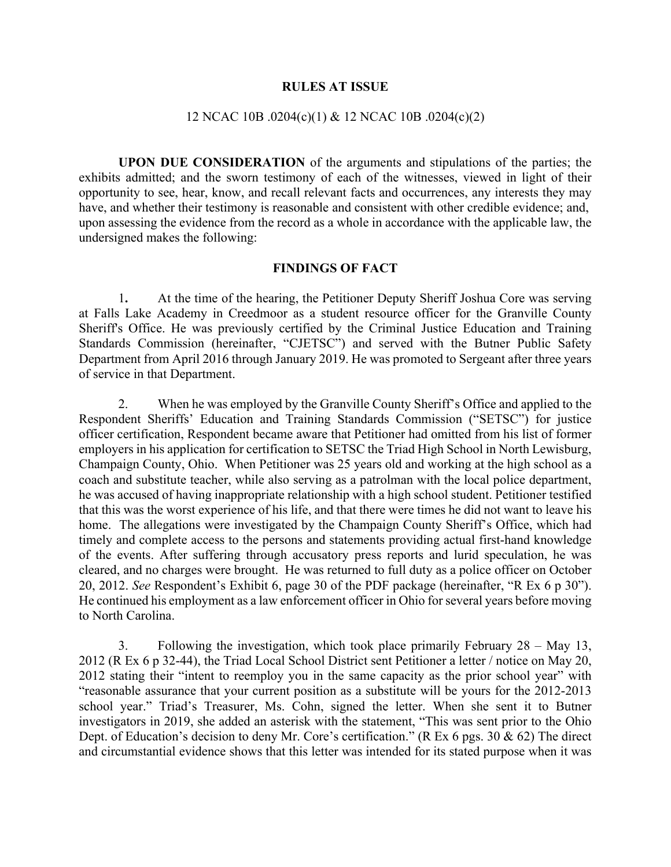#### **RULES AT ISSUE**

#### 12 NCAC 10B .0204(c)(1) & 12 NCAC 10B .0204(c)(2)

**UPON DUE CONSIDERATION** of the arguments and stipulations of the parties; the exhibits admitted; and the sworn testimony of each of the witnesses, viewed in light of their opportunity to see, hear, know, and recall relevant facts and occurrences, any interests they may have, and whether their testimony is reasonable and consistent with other credible evidence; and, upon assessing the evidence from the record as a whole in accordance with the applicable law, the undersigned makes the following:

#### **FINDINGS OF FACT**

1**.** At the time of the hearing, the Petitioner Deputy Sheriff Joshua Core was serving at Falls Lake Academy in Creedmoor as a student resource officer for the Granville County Sheriff's Office. He was previously certified by the Criminal Justice Education and Training Standards Commission (hereinafter, "CJETSC") and served with the Butner Public Safety Department from April 2016 through January 2019. He was promoted to Sergeant after three years of service in that Department.

2. When he was employed by the Granville County Sheriff's Office and applied to the Respondent Sheriffs' Education and Training Standards Commission ("SETSC") for justice officer certification, Respondent became aware that Petitioner had omitted from his list of former employers in his application for certification to SETSC the Triad High School in North Lewisburg, Champaign County, Ohio. When Petitioner was 25 years old and working at the high school as a coach and substitute teacher, while also serving as a patrolman with the local police department, he was accused of having inappropriate relationship with a high school student. Petitioner testified that this was the worst experience of his life, and that there were times he did not want to leave his home. The allegations were investigated by the Champaign County Sheriff's Office, which had timely and complete access to the persons and statements providing actual first-hand knowledge of the events. After suffering through accusatory press reports and lurid speculation, he was cleared, and no charges were brought. He was returned to full duty as a police officer on October 20, 2012. *See* Respondent's Exhibit 6, page 30 of the PDF package (hereinafter, "R Ex 6 p 30"). He continued his employment as a law enforcement officer in Ohio for several years before moving to North Carolina.

3. Following the investigation, which took place primarily February 28 – May 13, 2012 (R Ex 6 p 32-44), the Triad Local School District sent Petitioner a letter / notice on May 20, 2012 stating their "intent to reemploy you in the same capacity as the prior school year" with "reasonable assurance that your current position as a substitute will be yours for the 2012-2013 school year." Triad's Treasurer, Ms. Cohn, signed the letter. When she sent it to Butner investigators in 2019, she added an asterisk with the statement, "This was sent prior to the Ohio Dept. of Education's decision to deny Mr. Core's certification." (R Ex 6 pgs. 30 & 62) The direct and circumstantial evidence shows that this letter was intended for its stated purpose when it was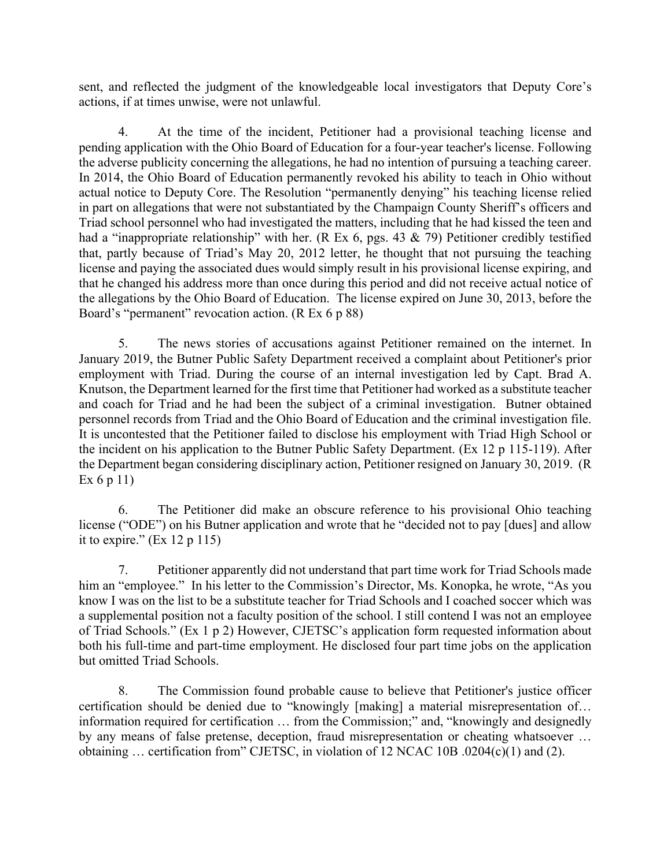sent, and reflected the judgment of the knowledgeable local investigators that Deputy Core's actions, if at times unwise, were not unlawful.

4. At the time of the incident, Petitioner had a provisional teaching license and pending application with the Ohio Board of Education for a four-year teacher's license. Following the adverse publicity concerning the allegations, he had no intention of pursuing a teaching career. In 2014, the Ohio Board of Education permanently revoked his ability to teach in Ohio without actual notice to Deputy Core. The Resolution "permanently denying" his teaching license relied in part on allegations that were not substantiated by the Champaign County Sheriff's officers and Triad school personnel who had investigated the matters, including that he had kissed the teen and had a "inappropriate relationship" with her. (R Ex 6, pgs. 43 & 79) Petitioner credibly testified that, partly because of Triad's May 20, 2012 letter, he thought that not pursuing the teaching license and paying the associated dues would simply result in his provisional license expiring, and that he changed his address more than once during this period and did not receive actual notice of the allegations by the Ohio Board of Education. The license expired on June 30, 2013, before the Board's "permanent" revocation action. (R Ex 6 p 88)

5. The news stories of accusations against Petitioner remained on the internet. In January 2019, the Butner Public Safety Department received a complaint about Petitioner's prior employment with Triad. During the course of an internal investigation led by Capt. Brad A. Knutson, the Department learned for the first time that Petitioner had worked as a substitute teacher and coach for Triad and he had been the subject of a criminal investigation. Butner obtained personnel records from Triad and the Ohio Board of Education and the criminal investigation file. It is uncontested that the Petitioner failed to disclose his employment with Triad High School or the incident on his application to the Butner Public Safety Department. (Ex 12 p 115-119). After the Department began considering disciplinary action, Petitioner resigned on January 30, 2019. (R Ex 6 p 11)

6. The Petitioner did make an obscure reference to his provisional Ohio teaching license ("ODE") on his Butner application and wrote that he "decided not to pay [dues] and allow it to expire."  $(Ex 12 p 115)$ 

7. Petitioner apparently did not understand that part time work for Triad Schools made him an "employee." In his letter to the Commission's Director, Ms. Konopka, he wrote, "As you know I was on the list to be a substitute teacher for Triad Schools and I coached soccer which was a supplemental position not a faculty position of the school. I still contend I was not an employee of Triad Schools." (Ex 1 p 2) However, CJETSC's application form requested information about both his full-time and part-time employment. He disclosed four part time jobs on the application but omitted Triad Schools.

8. The Commission found probable cause to believe that Petitioner's justice officer certification should be denied due to "knowingly [making] a material misrepresentation of… information required for certification … from the Commission;" and, "knowingly and designedly by any means of false pretense, deception, fraud misrepresentation or cheating whatsoever … obtaining … certification from" CJETSC, in violation of 12 NCAC 10B .0204(c)(1) and (2).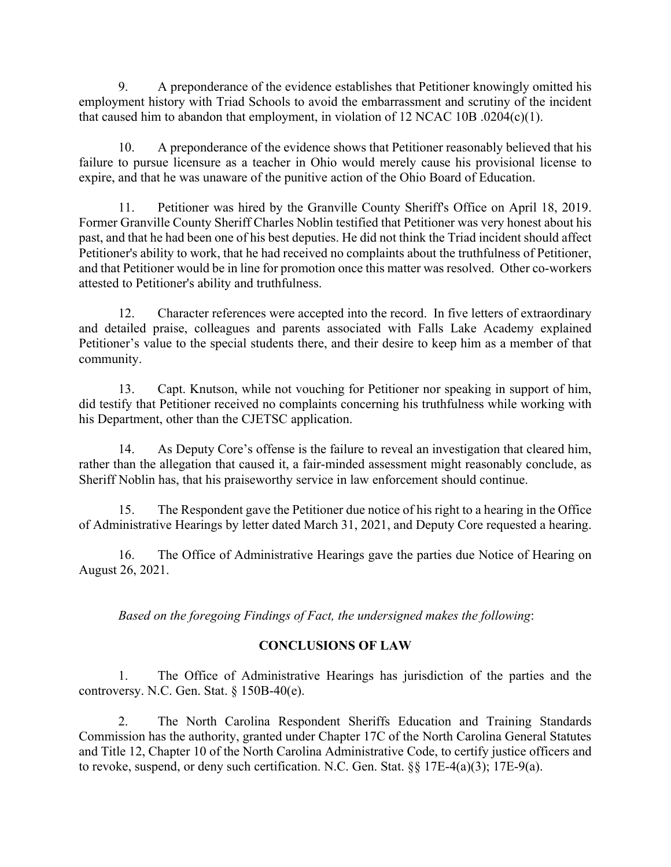9. A preponderance of the evidence establishes that Petitioner knowingly omitted his employment history with Triad Schools to avoid the embarrassment and scrutiny of the incident that caused him to abandon that employment, in violation of 12 NCAC 10B .0204(c)(1).

10. A preponderance of the evidence shows that Petitioner reasonably believed that his failure to pursue licensure as a teacher in Ohio would merely cause his provisional license to expire, and that he was unaware of the punitive action of the Ohio Board of Education.

11. Petitioner was hired by the Granville County Sheriff's Office on April 18, 2019. Former Granville County Sheriff Charles Noblin testified that Petitioner was very honest about his past, and that he had been one of his best deputies. He did not think the Triad incident should affect Petitioner's ability to work, that he had received no complaints about the truthfulness of Petitioner, and that Petitioner would be in line for promotion once this matter was resolved. Other co-workers attested to Petitioner's ability and truthfulness.

12. Character references were accepted into the record. In five letters of extraordinary and detailed praise, colleagues and parents associated with Falls Lake Academy explained Petitioner's value to the special students there, and their desire to keep him as a member of that community.

13. Capt. Knutson, while not vouching for Petitioner nor speaking in support of him, did testify that Petitioner received no complaints concerning his truthfulness while working with his Department, other than the CJETSC application.

14. As Deputy Core's offense is the failure to reveal an investigation that cleared him, rather than the allegation that caused it, a fair-minded assessment might reasonably conclude, as Sheriff Noblin has, that his praiseworthy service in law enforcement should continue.

15. The Respondent gave the Petitioner due notice of his right to a hearing in the Office of Administrative Hearings by letter dated March 31, 2021, and Deputy Core requested a hearing.

16. The Office of Administrative Hearings gave the parties due Notice of Hearing on August 26, 2021.

*Based on the foregoing Findings of Fact, the undersigned makes the following*:

## **CONCLUSIONS OF LAW**

1. The Office of Administrative Hearings has jurisdiction of the parties and the controversy. N.C. Gen. Stat. § 150B-40(e).

2. The North Carolina Respondent Sheriffs Education and Training Standards Commission has the authority, granted under Chapter 17C of the North Carolina General Statutes and Title 12, Chapter 10 of the North Carolina Administrative Code, to certify justice officers and to revoke, suspend, or deny such certification. N.C. Gen. Stat. §§ 17E-4(a)(3); 17E-9(a).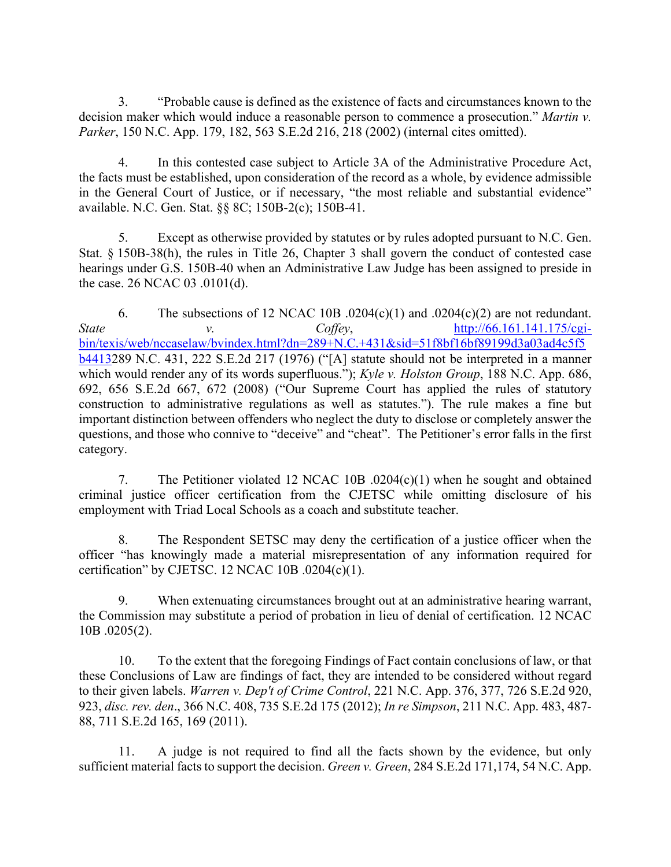3. "Probable cause is defined as the existence of facts and circumstances known to the decision maker which would induce a reasonable person to commence a prosecution." *Martin v. Parker*, 150 N.C. App. 179, 182, 563 S.E.2d 216, 218 (2002) (internal cites omitted).

4. In this contested case subject to Article 3A of the Administrative Procedure Act, the facts must be established, upon consideration of the record as a whole, by evidence admissible in the General Court of Justice, or if necessary, "the most reliable and substantial evidence" available. N.C. Gen. Stat. §§ 8C; 150B-2(c); 150B-41.

5. Except as otherwise provided by statutes or by rules adopted pursuant to N.C. Gen. Stat. § 150B-38(h), the rules in Title 26, Chapter 3 shall govern the conduct of contested case hearings under G.S. 150B-40 when an Administrative Law Judge has been assigned to preside in the case. 26 NCAC 03 .0101(d).

6. The subsections of 12 NCAC 10B  $.0204(c)(1)$  and  $.0204(c)(2)$  are not redundant. *State v. Coffey*, [http://66.161.141.175/cgi](http://66.161.141.175/cgi-bin/texis/web/nccaselaw/bvindex.html?dn=289+N.C.+431&sid=51f8bf16bf89199d3a03ad4c5f5b4413)[bin/texis/web/nccaselaw/bvindex.html?dn=289+N.C.+431&sid=51f8bf16bf89199d3a03ad4c5f5](http://66.161.141.175/cgi-bin/texis/web/nccaselaw/bvindex.html?dn=289+N.C.+431&sid=51f8bf16bf89199d3a03ad4c5f5b4413) [b4413](http://66.161.141.175/cgi-bin/texis/web/nccaselaw/bvindex.html?dn=289+N.C.+431&sid=51f8bf16bf89199d3a03ad4c5f5b4413)289 N.C. 431, 222 S.E.2d 217 (1976) ("[A] statute should not be interpreted in a manner which would render any of its words superfluous."); *Kyle v. Holston Group*, 188 N.C. App. 686, 692, 656 S.E.2d 667, 672 (2008) ("Our Supreme Court has applied the rules of statutory construction to administrative regulations as well as statutes."). The rule makes a fine but important distinction between offenders who neglect the duty to disclose or completely answer the questions, and those who connive to "deceive" and "cheat". The Petitioner's error falls in the first category.

7. The Petitioner violated 12 NCAC 10B .0204(c)(1) when he sought and obtained criminal justice officer certification from the CJETSC while omitting disclosure of his employment with Triad Local Schools as a coach and substitute teacher.

8. The Respondent SETSC may deny the certification of a justice officer when the officer "has knowingly made a material misrepresentation of any information required for certification" by CJETSC. 12 NCAC 10B  $.0204(c)(1)$ .

9. When extenuating circumstances brought out at an administrative hearing warrant, the Commission may substitute a period of probation in lieu of denial of certification. 12 NCAC 10B .0205(2).

10. To the extent that the foregoing Findings of Fact contain conclusions of law, or that these Conclusions of Law are findings of fact, they are intended to be considered without regard to their given labels. *Warren v. Dep't of Crime Control*, 221 N.C. App. 376, 377, 726 S.E.2d 920, 923, *disc. rev. den*., 366 N.C. 408, 735 S.E.2d 175 (2012); *In re Simpson*, 211 N.C. App. 483, 487- 88, 711 S.E.2d 165, 169 (2011).

11. A judge is not required to find all the facts shown by the evidence, but only sufficient material facts to support the decision. *Green v. Green*, 284 S.E.2d 171,174, 54 N.C. App.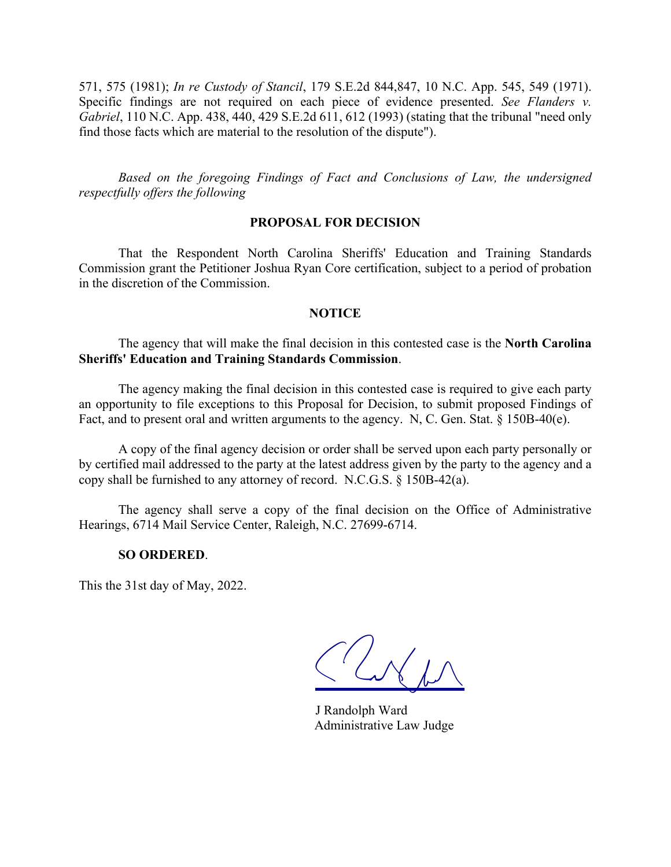571, 575 (1981); *In re Custody of Stancil*, 179 S.E.2d 844,847, 10 N.C. App. 545, 549 (1971). Specific findings are not required on each piece of evidence presented. *See Flanders v. Gabriel*, 110 N.C. App. 438, 440, 429 S.E.2d 611, 612 (1993) (stating that the tribunal "need only find those facts which are material to the resolution of the dispute").

*Based on the foregoing Findings of Fact and Conclusions of Law, the undersigned respectfully offers the following*

#### **PROPOSAL FOR DECISION**

That the Respondent North Carolina Sheriffs' Education and Training Standards Commission grant the Petitioner Joshua Ryan Core certification, subject to a period of probation in the discretion of the Commission.

#### **NOTICE**

The agency that will make the final decision in this contested case is the **North Carolina Sheriffs' Education and Training Standards Commission**.

The agency making the final decision in this contested case is required to give each party an opportunity to file exceptions to this Proposal for Decision, to submit proposed Findings of Fact, and to present oral and written arguments to the agency. N, C. Gen. Stat. § 150B-40(e).

A copy of the final agency decision or order shall be served upon each party personally or by certified mail addressed to the party at the latest address given by the party to the agency and a copy shall be furnished to any attorney of record. N.C.G.S. § 150B-42(a).

The agency shall serve a copy of the final decision on the Office of Administrative Hearings, 6714 Mail Service Center, Raleigh, N.C. 27699-6714.

#### **SO ORDERED**.

This the 31st day of May, 2022.

CLNM

J Randolph Ward Administrative Law Judge